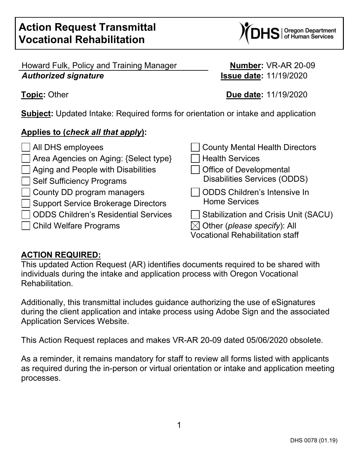$\bf{IS}$  | Oregon Department

Howard Fulk, Policy and Training Manager **Number:** VR-AR 20-09 *Authorized signature* **Issue date:** 11/19/2020

**Topic:** Other **Due date:** 11/19/2020

**Subject:** Updated Intake: Required forms for orientation or intake and application

# **Applies to (***check all that apply***):**

- ◯ All DHS employees County Mental Health Directors Area Agencies on Aging: {Select type} Health Services  $\vert$  Aging and People with Disabilities  $\vert$   $\vert$  Office of Developmental Self Sufficiency Programs Disabilities Services (ODDS) County DD program managers Support Service Brokerage Directors  $\Box$  ODDS Children's Residential Services  $\Box$  Stabilization and Crisis Unit (SACU)  $\Box$  Child Welfare Programs  $\boxtimes$  Other (*please specify*): All
- ODDS Children's Intensive In Home Services

Vocational Rehabilitation staff

## **ACTION REQUIRED:**

This updated Action Request (AR) identifies documents required to be shared with individuals during the intake and application process with Oregon Vocational Rehabilitation.

Additionally, this transmittal includes guidance authorizing the use of eSignatures during the client application and intake process using Adobe Sign and the associated Application Services Website.

This Action Request replaces and makes VR-AR 20-09 dated 05/06/2020 obsolete.

As a reminder, it remains mandatory for staff to review all forms listed with applicants as required during the in-person or virtual orientation or intake and application meeting processes.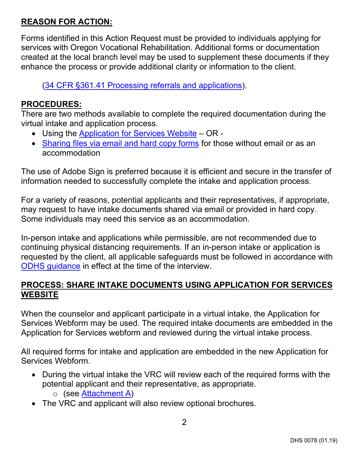### **REASON FOR ACTION:**

Forms identified in this Action Request must be provided to individuals applying for services with Oregon Vocational Rehabilitation. Additional forms or documentation created at the local branch level may be used to supplement these documents if they enhance the process or provide additional clarity or information to the client.

[\(34 CFR §361.41 Processing referrals and](https://www.ecfr.gov/cgi-bin/text-idx?SID=c5b285c153f258c3eef09457c56382ec&mc=true&node=se34.2.361_141&rgn=div8) applications).

#### **PROCEDURES:**

There are two methods available to complete the required documentation during the virtual intake and application process.

- Using the [Application for Services Website](#page-1-0) OR -
- [Sharing files via email and hard copy forms](#page-4-0) for those without email or as an accommodation

The use of Adobe Sign is preferred because it is efficient and secure in the transfer of information needed to successfully complete the intake and application process.

For a variety of reasons, potential applicants and their representatives, if appropriate, may request to have intake documents shared via email or provided in hard copy. Some individuals may need this service as an accommodation.

In-person intake and applications while permissible, are not recommended due to continuing physical distancing requirements. If an in-person intake or application is requested by the client, all applicable safeguards must be followed in accordance with [ODHS guidance](https://dhsoha.sharepoint.com/teams/Hub-DHS-COVID-19-Playbook) in effect at the time of the interview.

#### <span id="page-1-0"></span>**PROCESS: SHARE INTAKE DOCUMENTS USING APPLICATION FOR SERVICES WEBSITE**

When the counselor and applicant participate in a virtual intake, the Application for Services Webform may be used. The required intake documents are embedded in the Application for Services webform and reviewed during the virtual intake process.

All required forms for intake and application are embedded in the new Application for Services Webform.

- During the virtual intake the VRC will review each of the required forms with the potential applicant and their representative, as appropriate.
	- o (see [Attachment A\)](#page-6-0)
- The VRC and applicant will also review optional brochures.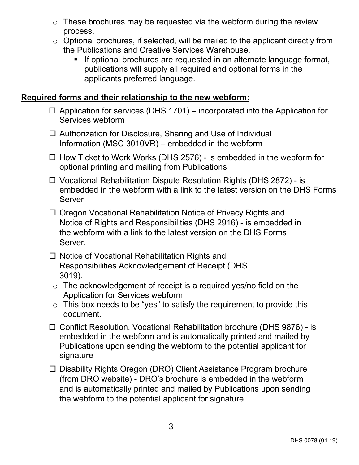- $\circ$  These brochures may be requested via the webform during the review process.
- $\circ$  Optional brochures, if selected, will be mailed to the applicant directly from the Publications and Creative Services Warehouse.
	- **If optional brochures are requested in an alternate language format,** publications will supply all required and optional forms in the applicants preferred language.

### **Required forms and their relationship to the new webform:**

- $\Box$  Application for services (DHS 1701) incorporated into the Application for Services webform
- □ Authorization for Disclosure, Sharing and Use of Individual Information (MSC 3010VR) – embedded in the webform
- $\Box$  How Ticket to Work Works (DHS 2576) is embedded in the webform for optional printing and mailing from Publications
- Vocational Rehabilitation Dispute Resolution Rights (DHS 2872) is embedded in the webform with a link to the latest version on the DHS Forms Server
- □ Oregon Vocational Rehabilitation Notice of Privacy Rights and Notice of Rights and Responsibilities (DHS 2916) - is embedded in the webform with a link to the latest version on the DHS Forms Server.
- □ Notice of Vocational Rehabilitation Rights and Responsibilities Acknowledgement of Receipt (DHS 3019).
	- $\circ$  The acknowledgement of receipt is a required yes/no field on the Application for Services webform.
- $\circ$  This box needs to be "yes" to satisfy the requirement to provide this document.
- Conflict Resolution. Vocational Rehabilitation brochure (DHS 9876) is embedded in the webform and is automatically printed and mailed by Publications upon sending the webform to the potential applicant for signature
- □ Disability Rights Oregon (DRO) Client Assistance Program brochure (from DRO website) - DRO's brochure is embedded in the webform and is automatically printed and mailed by Publications upon sending the webform to the potential applicant for signature.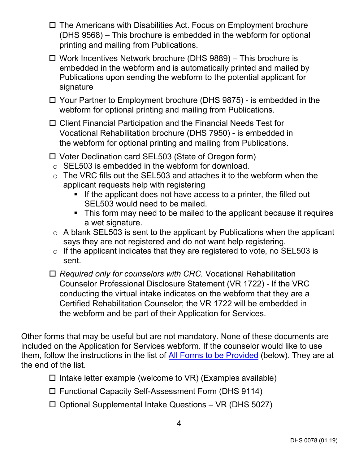- $\Box$  The Americans with Disabilities Act. Focus on Employment brochure (DHS 9568) – This brochure is embedded in the webform for optional printing and mailing from Publications.
- Work Incentives Network brochure (DHS 9889) This brochure is embedded in the webform and is automatically printed and mailed by Publications upon sending the webform to the potential applicant for signature
- Your Partner to Employment brochure (DHS 9875) is embedded in the webform for optional printing and mailing from Publications.
- □ Client Financial Participation and the Financial Needs Test for Vocational Rehabilitation brochure (DHS 7950) - is embedded in the webform for optional printing and mailing from Publications.
- Voter Declination card SEL503 (State of Oregon form)
- o SEL503 is embedded in the webform for download.
- $\circ$  The VRC fills out the SEL503 and attaches it to the webform when the applicant requests help with registering
	- If the applicant does not have access to a printer, the filled out SEL503 would need to be mailed.
	- This form may need to be mailed to the applicant because it requires a wet signature.
- $\circ$  A blank SEL503 is sent to the applicant by Publications when the applicant says they are not registered and do not want help registering.
- o If the applicant indicates that they are registered to vote, no SEL503 is sent.
- *Required only for counselors with CRC.* Vocational Rehabilitation Counselor Professional Disclosure Statement (VR 1722) - If the VRC conducting the virtual intake indicates on the webform that they are a Certified Rehabilitation Counselor; the VR 1722 will be embedded in the webform and be part of their Application for Services.

Other forms that may be useful but are not mandatory. None of these documents are included on the Application for Services webform. If the counselor would like to use them, follow the instructions in the list of [All Forms to be](#page-4-1) Provided (below). They are at the end of the list.

- $\square$  Intake letter example (welcome to VR) (Examples available)
- Functional Capacity Self-Assessment Form (DHS 9114)
- $\Box$  Optional Supplemental Intake Questions VR (DHS 5027)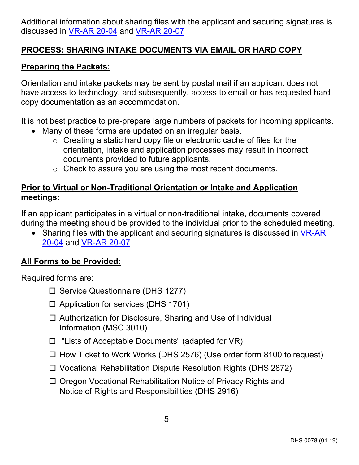Additional information about sharing files with the applicant and securing signatures is discussed in [VR-AR 20-04](https://dhsoha.sharepoint.com/teams/Hub-DHS-VR/Shared%20Documents/Policies-Rules-Regulations/Action-Requests/VR-AR-20-04-Virtual-Appointment-Guidance-2020-04-03.pdf?csf=1&e=lUmH7B&cid=c5a3bc50-e484-413a-a45e-ed55937c6fa1) and [VR-AR](https://dhsoha.sharepoint.com/:b:/r/teams/Hub-DHS-VR/Shared%20Documents/Policies-Rules-Regulations/Action-Requests/VR-AR-20-07-Virtual-Intake-Final-2020-04-24.pdf?csf=1&web=1&e=2uqBMZ) 20-07

### <span id="page-4-0"></span>**PROCESS: SHARING INTAKE DOCUMENTS VIA EMAIL OR HARD COPY**

#### **Preparing the Packets:**

Orientation and intake packets may be sent by postal mail if an applicant does not have access to technology, and subsequently, access to email or has requested hard copy documentation as an accommodation.

It is not best practice to pre-prepare large numbers of packets for incoming applicants.

- Many of these forms are updated on an irregular basis.
	- o Creating a static hard copy file or electronic cache of files for the orientation, intake and application processes may result in incorrect documents provided to future applicants.
	- o Check to assure you are using the most recent documents.

#### **Prior to Virtual or Non-Traditional Orientation or Intake and Application meetings:**

If an applicant participates in a virtual or non-traditional intake, documents covered during the meeting should be provided to the individual prior to the scheduled meeting.

• Sharing files with the applicant and securing signatures is discussed in VR-AR [20-04](https://dhsoha.sharepoint.com/teams/Hub-DHS-VR/Shared%20Documents/Policies-Rules-Regulations/Action-Requests/VR-AR-20-04-Virtual-Appointment-Guidance-2020-04-03.pdf?csf=1&e=lUmH7B&cid=c5a3bc50-e484-413a-a45e-ed55937c6fa1) and [VR-AR](https://dhsoha.sharepoint.com/:b:/r/teams/Hub-DHS-VR/Shared%20Documents/Policies-Rules-Regulations/Action-Requests/VR-AR-20-07-Virtual-Intake-Final-2020-04-24.pdf?csf=1&web=1&e=2uqBMZ) 20-07

#### <span id="page-4-1"></span>**All Forms to be Provided:**

Required forms are:

- $\square$  Service Questionnaire (DHS 1277)
- $\Box$  Application for services (DHS 1701)
- □ Authorization for Disclosure, Sharing and Use of Individual Information (MSC 3010)
- □ "Lists of Acceptable Documents" (adapted for VR)
- $\Box$  How Ticket to Work Works (DHS 2576) (Use order form 8100 to request)
- Vocational Rehabilitation Dispute Resolution Rights (DHS 2872)
- □ Oregon Vocational Rehabilitation Notice of Privacy Rights and Notice of Rights and Responsibilities (DHS 2916)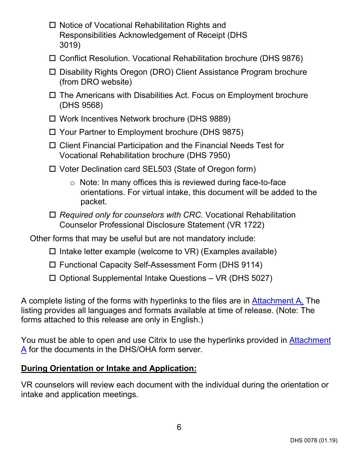- Notice of Vocational Rehabilitation Rights and Responsibilities Acknowledgement of Receipt (DHS 3019)
- Conflict Resolution. Vocational Rehabilitation brochure (DHS 9876)
- □ Disability Rights Oregon (DRO) Client Assistance Program brochure (from DRO website)
- $\Box$  The Americans with Disabilities Act. Focus on Employment brochure (DHS 9568)
- Work Incentives Network brochure (DHS 9889)
- Your Partner to Employment brochure (DHS 9875)
- Client Financial Participation and the Financial Needs Test for Vocational Rehabilitation brochure (DHS 7950)
- Voter Declination card SEL503 (State of Oregon form)
	- o Note: In many offices this is reviewed during face-to-face orientations. For virtual intake, this document will be added to the packet.
- *Required only for counselors with CRC.* Vocational Rehabilitation Counselor Professional Disclosure Statement (VR 1722)

Other forms that may be useful but are not mandatory include:

- $\Box$  Intake letter example (welcome to VR) (Examples available)
- Functional Capacity Self-Assessment Form (DHS 9114)
- $\Box$  Optional Supplemental Intake Questions VR (DHS 5027)

A complete listing of the forms with hyperlinks to the files are in [Attachment A.](#page-6-0) The listing provides all languages and formats available at time of release. (Note: The forms attached to this release are only in English.)

You must be able to open and use Citrix to use the hyperlinks provided in [Attachment](#page-6-0)  [A](#page-6-0) for the documents in the DHS/OHA form server.

## **During Orientation or Intake and Application:**

VR counselors will review each document with the individual during the orientation or intake and application meetings.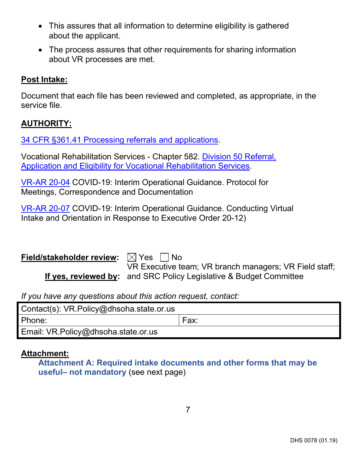- This assures that all information to determine eligibility is gathered about the applicant.
- The process assures that other requirements for sharing information about VR processes are met.

#### **Post Intake:**

Document that each file has been reviewed and completed, as appropriate, in the service file.

#### **AUTHORITY:**

[34 CFR §361.41 Processing referrals and applications.](https://www.ecfr.gov/cgi-bin/text-idx?SID=c5b285c153f258c3eef09457c56382ec&mc=true&node=se34.2.361_141&rgn=div8)

Vocational Rehabilitation Services - Chapter 582. [Division 50 Referral,](https://secure.sos.state.or.us/oard/displayDivisionRules.action;JSESSIONID_OARD=mrHfanYwaXXPZyIpNjVE8ccyIYzpqTXUaZ7di2vX6LwLnwryWpCE!2068710242?selectedDivision=2606)  Application [and Eligibility for Vocational Rehabilitation Services.](https://secure.sos.state.or.us/oard/displayDivisionRules.action;JSESSIONID_OARD=mrHfanYwaXXPZyIpNjVE8ccyIYzpqTXUaZ7di2vX6LwLnwryWpCE!2068710242?selectedDivision=2606)

[VR-AR 20-04](https://dhsoha.sharepoint.com/teams/Hub-DHS-VR/Shared%20Documents/Policies-Rules-Regulations/Action-Requests/VR-AR-20-04-Virtual-Appointment-Guidance-2020-04-03.pdf?csf=1&e=lUmH7B&cid=c5a3bc50-e484-413a-a45e-ed55937c6fa1) COVID-19: Interim Operational Guidance. Protocol for Meetings, Correspondence and Documentation

[VR-AR 20-07](https://dhsoha.sharepoint.com/:b:/r/teams/Hub-DHS-VR/Shared%20Documents/Policies-Rules-Regulations/Action-Requests/VR-AR-20-07-Virtual-Intake-Final-2020-04-24.pdf?csf=1&web=1&e=2uqBMZ) COVID-19: Interim Operational Guidance. Conducting Virtual Intake and Orientation in Response to Executive Order 20-12)

| Field/stakeholder review: $\boxtimes$ Yes $\Box$ No |                                                                    |
|-----------------------------------------------------|--------------------------------------------------------------------|
|                                                     | VR Executive team; VR branch managers; VR Field staff;             |
|                                                     | If yes, reviewed by: and SRC Policy Legislative & Budget Committee |

*If you have any questions about this action request, contact:*

| Contact(s): VR.Policy@dhsoha.state.or.us |      |
|------------------------------------------|------|
| Phone:                                   | Fax: |
| Email: VR.Policy@dhsoha.state.or.us      |      |

#### <span id="page-6-0"></span>**Attachment:**

**Attachment A: Required intake documents and other forms that may be useful– not mandatory** (see next page)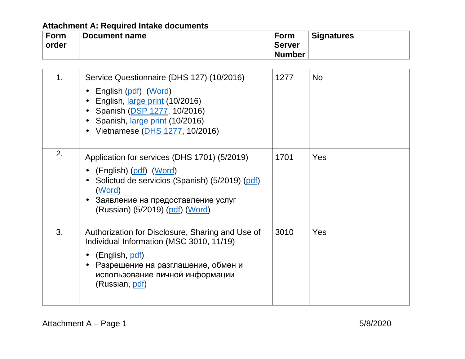| <b>Form</b> | Document name | Form          | <b>Signatures</b> |
|-------------|---------------|---------------|-------------------|
| order       |               | <b>Server</b> |                   |
|             |               | <b>Number</b> |                   |

| 1 <sub>1</sub> | Service Questionnaire (DHS 127) (10/2016)<br>English (pdf) (Word)<br>English, large print (10/2016)<br>Spanish (DSP 1277, 10/2016)<br>Spanish, <i>large print</i> (10/2016)<br>Vietnamese (DHS 1277, 10/2016)     | 1277 | <b>No</b> |
|----------------|-------------------------------------------------------------------------------------------------------------------------------------------------------------------------------------------------------------------|------|-----------|
| 2.             | Application for services (DHS 1701) (5/2019)<br>(English) (pdf) (Word)<br>Solictud de servicios (Spanish) (5/2019) (pdf)<br>(Word)<br>Заявление на предоставление услуг<br>(Russian) (5/2019) (pdf) (Word)        | 1701 | Yes       |
| 3.             | Authorization for Disclosure, Sharing and Use of<br>Individual Information (MSC 3010, 11/19)<br>(English, <u>pdf</u> )<br>Разрешение на разглашение, обмен и<br>использование личной информации<br>(Russian, pdf) | 3010 | Yes       |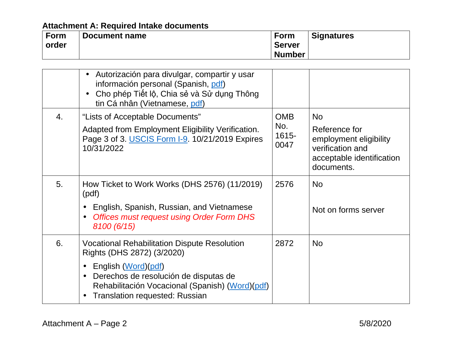| Form  | Document name | <b>Form</b>   | <b>Signatures</b> |
|-------|---------------|---------------|-------------------|
| order |               | <b>Server</b> |                   |
|       |               | <b>Number</b> |                   |

|    | Autorización para divulgar, compartir y usar<br>información personal (Spanish, pdf)<br>Cho phép Tiết lộ, Chia sẻ và Sử dụng Thông<br>tin Cá nhân (Vietnamese, pdf)                                                                                                       |                                    |                                                                                                                     |
|----|--------------------------------------------------------------------------------------------------------------------------------------------------------------------------------------------------------------------------------------------------------------------------|------------------------------------|---------------------------------------------------------------------------------------------------------------------|
| 4. | "Lists of Acceptable Documents"<br>Adapted from Employment Eligibility Verification.<br>Page 3 of 3. USCIS Form I-9. 10/21/2019 Expires<br>10/31/2022                                                                                                                    | <b>OMB</b><br>No.<br>1615-<br>0047 | <b>No</b><br>Reference for<br>employment eligibility<br>verification and<br>acceptable identification<br>documents. |
| 5. | How Ticket to Work Works (DHS 2576) (11/2019)<br>(pdf)<br>English, Spanish, Russian, and Vietnamese<br><b>Offices must request using Order Form DHS</b><br>$\bullet$<br>8100 (6/15)                                                                                      | 2576                               | <b>No</b><br>Not on forms server                                                                                    |
| 6. | <b>Vocational Rehabilitation Dispute Resolution</b><br>Rights (DHS 2872) (3/2020)<br>English (Word)(pdf)<br>Derechos de resolución de disputas de<br>$\bullet$<br>Rehabilitación Vocacional (Spanish) (Word) (pdf)<br><b>Translation requested: Russian</b><br>$\bullet$ | 2872                               | <b>No</b>                                                                                                           |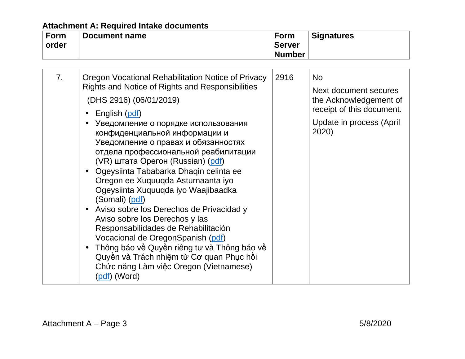| <b>Form</b> | Document name | Form          | <b>Signatures</b> |
|-------------|---------------|---------------|-------------------|
| order       |               | <b>Server</b> |                   |
|             |               | <b>Number</b> |                   |

| 7 <sub>1</sub> | Oregon Vocational Rehabilitation Notice of Privacy<br>Rights and Notice of Rights and Responsibilities<br>(DHS 2916) (06/01/2019)<br>English (pdf)<br>Уведомление о порядке использования<br>конфиденциальной информации и<br>Уведомление о правах и обязанностях<br>отдела профессиональной реабилитации<br>(VR) штата Орегон (Russian) (pdf)<br>Ogeysiinta Tababarka Dhaqin celinta ee<br>$\bullet$<br>Oregon ee Xuquuqda Asturnaanta iyo<br>Ogeysiinta Xuquuqda iyo Waajibaadka<br>(Somali) (pdf)<br>Aviso sobre los Derechos de Privacidad y<br>$\bullet$<br>Aviso sobre los Derechos y las<br>Responsabilidades de Rehabilitación<br>Vocacional de OregonSpanish (pdf)<br>Thông báo về Quyền riêng tư và Thông báo về<br>$\bullet$ | 2916 | <b>No</b><br>Next document secures<br>the Acknowledgement of<br>receipt of this document.<br>Update in process (April<br>2020) |
|----------------|-----------------------------------------------------------------------------------------------------------------------------------------------------------------------------------------------------------------------------------------------------------------------------------------------------------------------------------------------------------------------------------------------------------------------------------------------------------------------------------------------------------------------------------------------------------------------------------------------------------------------------------------------------------------------------------------------------------------------------------------|------|--------------------------------------------------------------------------------------------------------------------------------|
|                | Quyền và Trách nhiệm từ Cơ quan Phục hồi<br>Chức năng Làm việc Oregon (Vietnamese)<br>(pdf) (Word)                                                                                                                                                                                                                                                                                                                                                                                                                                                                                                                                                                                                                                      |      |                                                                                                                                |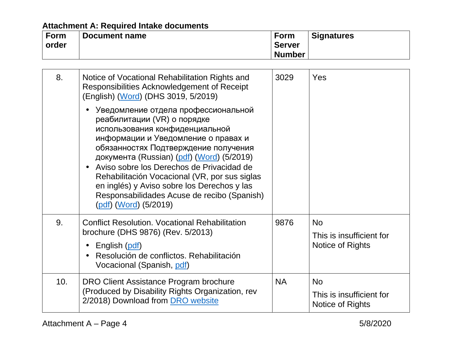| ∣ Form | Document name | <b>Form</b>   | <b>Signatures</b> |
|--------|---------------|---------------|-------------------|
| order  |               | <b>Server</b> |                   |
|        |               | <b>Number</b> |                   |

| 8.  | Notice of Vocational Rehabilitation Rights and<br>Responsibilities Acknowledgement of Receipt<br>(English) (Word) (DHS 3019, 5/2019)                                                                                                                                                                                                                                                                                                                  | 3029      | Yes                                                       |
|-----|-------------------------------------------------------------------------------------------------------------------------------------------------------------------------------------------------------------------------------------------------------------------------------------------------------------------------------------------------------------------------------------------------------------------------------------------------------|-----------|-----------------------------------------------------------|
|     | Уведомление отдела профессиональной<br>реабилитации (VR) о порядке<br>использования конфиденциальной<br>информации и Уведомление о правах и<br>обязанностях Подтверждение получения<br>документа (Russian) (pdf) (Word) (5/2019)<br>Aviso sobre los Derechos de Privacidad de<br>Rehabilitación Vocacional (VR, por sus siglas<br>en inglés) y Aviso sobre los Derechos y las<br>Responsabilidades Acuse de recibo (Spanish)<br>(pdf) (Word) (5/2019) |           |                                                           |
| 9.  | <b>Conflict Resolution. Vocational Rehabilitation</b><br>brochure (DHS 9876) (Rev. 5/2013)<br>English (pdf)<br>Resolución de conflictos. Rehabilitación<br>Vocacional (Spanish, pdf)                                                                                                                                                                                                                                                                  | 9876      | <b>No</b><br>This is insufficient for<br>Notice of Rights |
| 10. | DRO Client Assistance Program brochure<br>(Produced by Disability Rights Organization, rev<br>2/2018) Download from DRO website                                                                                                                                                                                                                                                                                                                       | <b>NA</b> | <b>No</b><br>This is insufficient for<br>Notice of Rights |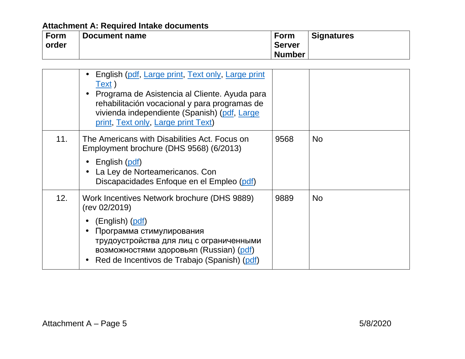| <b>Form</b> | Document name | Form          | <b>Signatures</b> |
|-------------|---------------|---------------|-------------------|
| order       |               | <b>Server</b> |                   |
|             |               | <b>Number</b> |                   |

|     | English (pdf, Large print, Text only, Large print<br>Text)<br>Programa de Asistencia al Cliente. Ayuda para<br>rehabilitación vocacional y para programas de<br>vivienda independiente (Spanish) (pdf, Large<br>print, Text only, Large print Text) |      |           |
|-----|-----------------------------------------------------------------------------------------------------------------------------------------------------------------------------------------------------------------------------------------------------|------|-----------|
| 11. | The Americans with Disabilities Act. Focus on<br>Employment brochure (DHS 9568) (6/2013)<br>English (pdf)<br>La Ley de Norteamericanos. Con<br>Discapacidades Enfoque en el Empleo (pdf)                                                            | 9568 | No.       |
| 12. | Work Incentives Network brochure (DHS 9889)<br>(rev 02/2019)<br>(English) (pdf)<br>Программа стимулирования<br>трудоустройства для лиц с ограниченными<br>возможностями здоровья (Russian) (pdf)<br>Red de Incentivos de Trabajo (Spanish) (pdf)    | 9889 | <b>No</b> |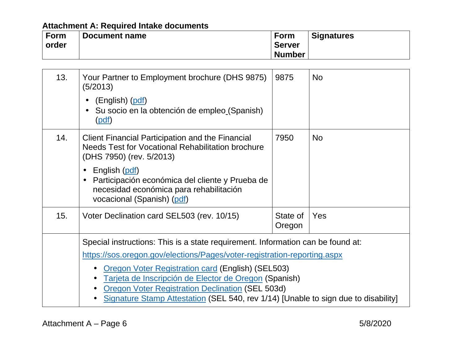| <b>Form</b> | Document name | <b>Form</b>   | <b>Signatures</b> |
|-------------|---------------|---------------|-------------------|
| order       |               | <b>Server</b> |                   |
|             |               | <b>Number</b> |                   |

| 13. | Your Partner to Employment brochure (DHS 9875)<br>(5/2013)<br>(English) (pdf)<br>Su socio en la obtención de empleo (Spanish)<br>(pdf)                                                                                                                                                                                                                                                                                            | 9875               | <b>No</b> |
|-----|-----------------------------------------------------------------------------------------------------------------------------------------------------------------------------------------------------------------------------------------------------------------------------------------------------------------------------------------------------------------------------------------------------------------------------------|--------------------|-----------|
| 14. | <b>Client Financial Participation and the Financial</b><br>Needs Test for Vocational Rehabilitation brochure<br>(DHS 7950) (rev. 5/2013)<br>English (pdf)<br>Participación económica del cliente y Prueba de<br>$\bullet$<br>necesidad económica para rehabilitación<br>vocacional (Spanish) (pdf)                                                                                                                                | 7950               | <b>No</b> |
| 15. | Voter Declination card SEL503 (rev. 10/15)                                                                                                                                                                                                                                                                                                                                                                                        | State of<br>Oregon | Yes       |
|     | Special instructions: This is a state requirement. Information can be found at:<br>https://sos.oregon.gov/elections/Pages/voter-registration-reporting.aspx<br><b>Oregon Voter Registration card (English) (SEL503)</b><br>Tarjeta de Inscripción de Elector de Oregon (Spanish)<br><b>Oregon Voter Registration Declination (SEL 503d)</b><br>Signature Stamp Attestation (SEL 540, rev 1/14) [Unable to sign due to disability] |                    |           |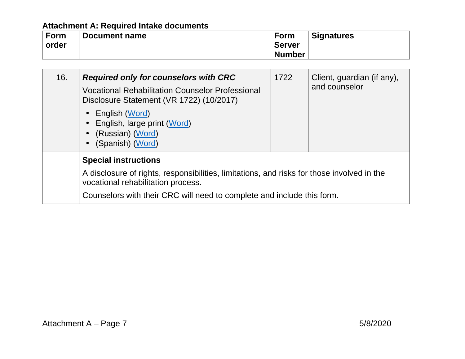| Form  | Document name | <b>Form</b>   | <b>Signatures</b> |
|-------|---------------|---------------|-------------------|
| order |               | <b>Server</b> |                   |
|       |               | <b>Number</b> |                   |

| 16. | <b>Required only for counselors with CRC</b><br><b>Vocational Rehabilitation Counselor Professional</b><br>Disclosure Statement (VR 1722) (10/2017)<br>$\bullet$ English (Word)<br>• English, large print (Word)<br>• (Russian) (Word)<br>(Spanish) (Word) | 1722 | Client, guardian (if any),<br>and counselor |
|-----|------------------------------------------------------------------------------------------------------------------------------------------------------------------------------------------------------------------------------------------------------------|------|---------------------------------------------|
|     | <b>Special instructions</b><br>A disclosure of rights, responsibilities, limitations, and risks for those involved in the<br>vocational rehabilitation process.<br>Counselors with their CRC will need to complete and include this form.                  |      |                                             |